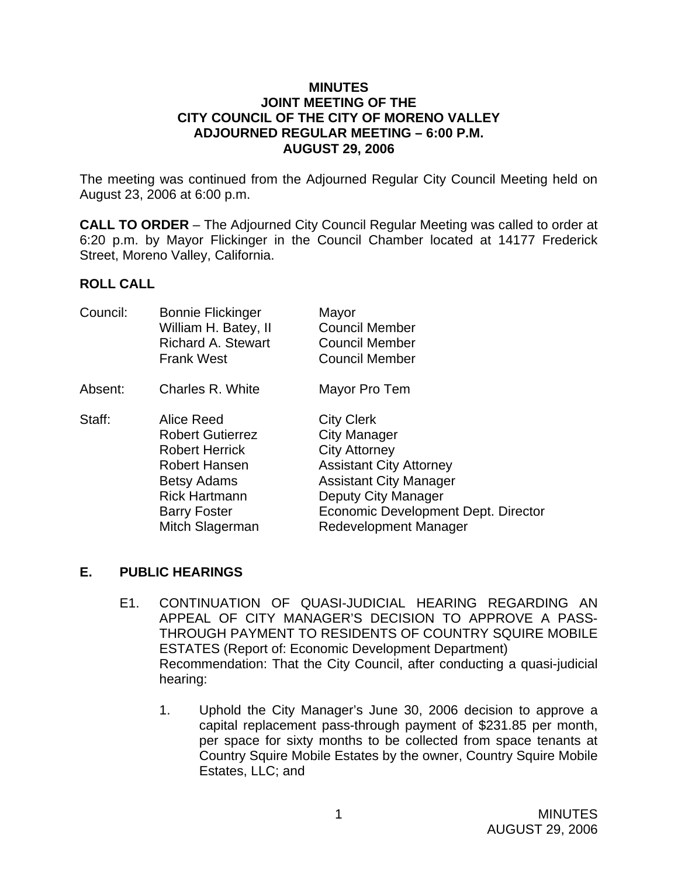#### **MINUTES JOINT MEETING OF THE CITY COUNCIL OF THE CITY OF MORENO VALLEY ADJOURNED REGULAR MEETING – 6:00 P.M. AUGUST 29, 2006**

The meeting was continued from the Adjourned Regular City Council Meeting held on August 23, 2006 at 6:00 p.m.

**CALL TO ORDER** – The Adjourned City Council Regular Meeting was called to order at 6:20 p.m. by Mayor Flickinger in the Council Chamber located at 14177 Frederick Street, Moreno Valley, California.

### **ROLL CALL**

| Council: | <b>Bonnie Flickinger</b><br>William H. Batey, II | Mayor<br><b>Council Member</b>      |
|----------|--------------------------------------------------|-------------------------------------|
|          | <b>Richard A. Stewart</b>                        | <b>Council Member</b>               |
|          | <b>Frank West</b>                                | <b>Council Member</b>               |
| Absent:  | Charles R. White                                 | Mayor Pro Tem                       |
| Staff:   | Alice Reed                                       | <b>City Clerk</b>                   |
|          | <b>Robert Gutierrez</b>                          | <b>City Manager</b>                 |
|          | <b>Robert Herrick</b>                            | <b>City Attorney</b>                |
|          | <b>Robert Hansen</b>                             | <b>Assistant City Attorney</b>      |
|          | <b>Betsy Adams</b>                               | <b>Assistant City Manager</b>       |
|          | <b>Rick Hartmann</b>                             | Deputy City Manager                 |
|          | <b>Barry Foster</b>                              | Economic Development Dept. Director |
|          | Mitch Slagerman                                  | Redevelopment Manager               |
|          |                                                  |                                     |

### **E. PUBLIC HEARINGS**

- E1. CONTINUATION OF QUASI-JUDICIAL HEARING REGARDING AN APPEAL OF CITY MANAGER'S DECISION TO APPROVE A PASS-THROUGH PAYMENT TO RESIDENTS OF COUNTRY SQUIRE MOBILE ESTATES (Report of: Economic Development Department) Recommendation: That the City Council, after conducting a quasi-judicial hearing:
	- 1. Uphold the City Manager's June 30, 2006 decision to approve a capital replacement pass-through payment of \$231.85 per month, per space for sixty months to be collected from space tenants at Country Squire Mobile Estates by the owner, Country Squire Mobile Estates, LLC; and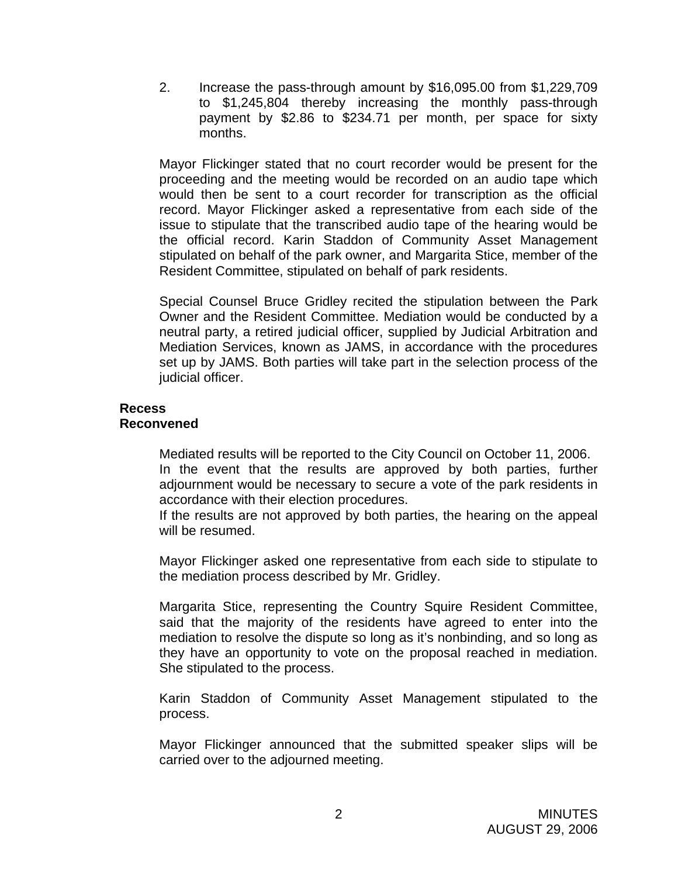2. Increase the pass-through amount by \$16,095.00 from \$1,229,709 to \$1,245,804 thereby increasing the monthly pass-through payment by \$2.86 to \$234.71 per month, per space for sixty months.

Mayor Flickinger stated that no court recorder would be present for the proceeding and the meeting would be recorded on an audio tape which would then be sent to a court recorder for transcription as the official record. Mayor Flickinger asked a representative from each side of the issue to stipulate that the transcribed audio tape of the hearing would be the official record. Karin Staddon of Community Asset Management stipulated on behalf of the park owner, and Margarita Stice, member of the Resident Committee, stipulated on behalf of park residents.

 Special Counsel Bruce Gridley recited the stipulation between the Park Owner and the Resident Committee. Mediation would be conducted by a neutral party, a retired judicial officer, supplied by Judicial Arbitration and Mediation Services, known as JAMS, in accordance with the procedures set up by JAMS. Both parties will take part in the selection process of the judicial officer.

# **Recess**

# **Reconvened**

Mediated results will be reported to the City Council on October 11, 2006. In the event that the results are approved by both parties, further adjournment would be necessary to secure a vote of the park residents in accordance with their election procedures.

If the results are not approved by both parties, the hearing on the appeal will be resumed.

 Mayor Flickinger asked one representative from each side to stipulate to the mediation process described by Mr. Gridley.

Margarita Stice, representing the Country Squire Resident Committee, said that the majority of the residents have agreed to enter into the mediation to resolve the dispute so long as it's nonbinding, and so long as they have an opportunity to vote on the proposal reached in mediation. She stipulated to the process.

 Karin Staddon of Community Asset Management stipulated to the process.

 Mayor Flickinger announced that the submitted speaker slips will be carried over to the adjourned meeting.